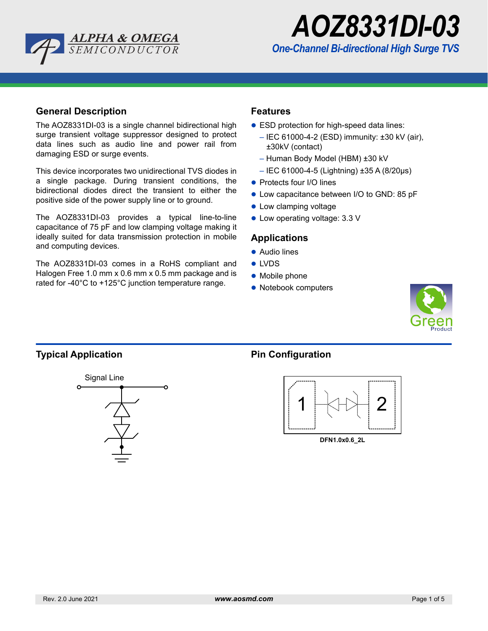



## **General Description**

The AOZ8331DI-03 is a single channel bidirectional high surge transient voltage suppressor designed to protect data lines such as audio line and power rail from damaging ESD or surge events.

This device incorporates two unidirectional TVS diodes in a single package. During transient conditions, the bidirectional diodes direct the transient to either the positive side of the power supply line or to ground.

The AOZ8331DI-03 provides a typical line-to-line capacitance of 75 pF and low clamping voltage making it ideally suited for data transmission protection in mobile and computing devices.

The AOZ8331DI-03 comes in a RoHS compliant and Halogen Free 1.0 mm x 0.6 mm x 0.5 mm package and is rated for -40°C to +125°C junction temperature range.

# **Features**

- ESD protection for high-speed data lines:
	- IEC 61000-4-2 (ESD) immunity: ±30 kV (air), ±30kV (contact)
	- Human Body Model (HBM) ±30 kV
	- IEC 61000-4-5 (Lightning) ±35 A (8/20µs)
- Protects four I/O lines
- Low capacitance between I/O to GND: 85 pF
- **Cow clamping voltage**
- Low operating voltage: 3.3 V

### **Applications**

- Audio lines
- LVDS
- **Mobile phone**
- Notebook computers



# **Typical Application Pin Configuration**





**DFN1.0x0.6\_2L**

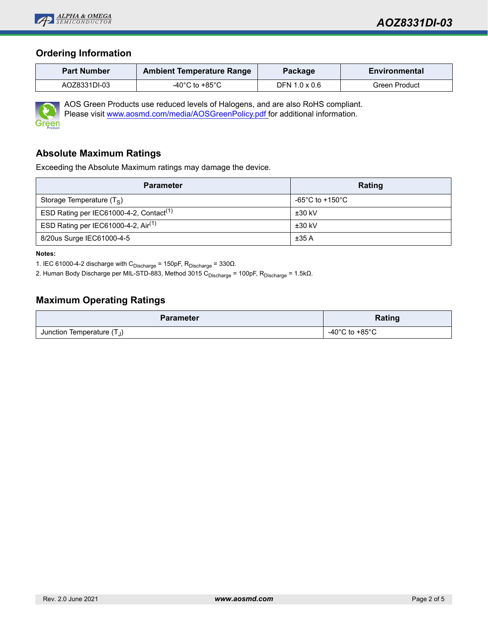

# **Ordering Information**

| <b>Part Number</b><br><b>Ambient Temperature Range</b> |                | Package       | Environmental |  |
|--------------------------------------------------------|----------------|---------------|---------------|--|
| AOZ8331DI-03                                           | -40°C to +85°C | DFN 1.0 x 0.6 | Green Product |  |



AOS Green Products use reduced levels of Halogens, and are also RoHS compliant. Please visit www.aosmd.com/media/AOSGreenPolicy.pdf for additional information.

## **Absolute Maximum Ratings**

Exceeding the Absolute Maximum ratings may damage the device.

| <b>Parameter</b>                                    | Rating          |
|-----------------------------------------------------|-----------------|
| Storage Temperature $(T_S)$                         | -65°C to +150°C |
| ESD Rating per IEC61000-4-2, Contact <sup>(1)</sup> | $±30$ kV        |
| ESD Rating per IEC61000-4-2, $Air(1)$               | $±30$ kV        |
| 8/20us Surge IEC61000-4-5                           | ±35A            |

**Notes:**

1. IEC 61000-4-2 discharge with  $C_{Discharge}$  = 150pF,  $R_{Discharge}$  = 330 $\Omega$ .

2. Human Body Discharge per MIL-STD-883, Method 3015 C<sub>Discharge</sub> = 100pF, R<sub>Discharge</sub> = 1.5kΩ.

# **Maximum Operating Ratings**

| <b>Parameter</b>                                 | Rating                               |  |
|--------------------------------------------------|--------------------------------------|--|
| Junction Temperature $(\mathsf{T}_{\mathsf{J}})$ | -40 $^{\circ}$ C to +85 $^{\circ}$ C |  |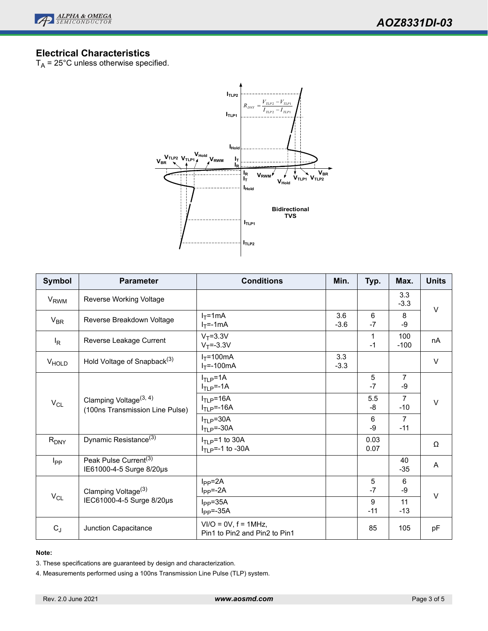

# **Electrical Characteristics**

 $T_A$  = 25°C unless otherwise specified.



| <b>Symbol</b>     | <b>Parameter</b>                                                      | <b>Conditions</b>                                          | Min.          | Typ.         | Max.                    | <b>Units</b> |
|-------------------|-----------------------------------------------------------------------|------------------------------------------------------------|---------------|--------------|-------------------------|--------------|
| V <sub>RWM</sub>  | Reverse Working Voltage                                               |                                                            |               |              | 3.3<br>$-3.3$           | $\vee$       |
| $V_{BR}$          | Reverse Breakdown Voltage                                             | $I_T = 1mA$<br>$I_T = -1$ mA                               | 3.6<br>$-3.6$ | 6<br>$-7$    | 8<br>$-9$               |              |
| ΙR                | Reverse Leakage Current                                               | $V_T = 3.3V$<br>$V_T = -3.3V$                              |               | 1<br>$-1$    | 100<br>$-100$           | nA           |
| V <sub>HOLD</sub> | Hold Voltage of Snapback <sup>(3)</sup>                               | $I_T = 100mA$<br>$I_T = -100mA$                            | 3.3<br>$-3.3$ |              |                         | $\vee$       |
| $V_{CL}$          | Clamping Voltage <sup>(3, 4)</sup><br>(100ns Transmission Line Pulse) | $ITLP=1A$<br>$ITLP=-1A$                                    |               | 5<br>$-7$    | $\overline{7}$<br>$-9$  | $\vee$       |
|                   |                                                                       | $ITLP=16A$<br>$ITLP=-16A$                                  |               | 5.5<br>-8    | $\overline{7}$<br>$-10$ |              |
|                   |                                                                       | $ITLP=30A$<br>$ITLP=-30A$                                  |               | 6<br>-9      | $\overline{7}$<br>$-11$ |              |
| $R_{DNY}$         | Dynamic Resistance <sup>(3)</sup>                                     | $I_{\text{TI}}$ p=1 to 30A<br>$I_{\text{TI}}$ p=-1 to -30A |               | 0.03<br>0.07 |                         | Ω            |
| I <sub>PP</sub>   | Peak Pulse Current <sup>(3)</sup><br>IE61000-4-5 Surge 8/20µs         |                                                            |               |              | 40<br>$-35$             | A            |
| $V_{CL}$          | Clamping Voltage <sup>(3)</sup><br>IEC61000-4-5 Surge 8/20µs          | $I_{PP} = 2A$<br>$I_{PP} = -2A$                            |               | 5<br>$-7$    | 6<br>-9                 | $\vee$       |
|                   |                                                                       | $I_{PP} = 35A$<br>$I_{PP} = -35A$                          |               | 9<br>$-11$   | 11<br>$-13$             |              |
| $C_J$             | Junction Capacitance                                                  | $VI/O = OV, f = 1MHz,$<br>Pin1 to Pin2 and Pin2 to Pin1    |               | 85           | 105                     | pF           |

#### **Note:**

3. These specifications are guaranteed by design and characterization.

4. Measurements performed using a 100ns Transmission Line Pulse (TLP) system.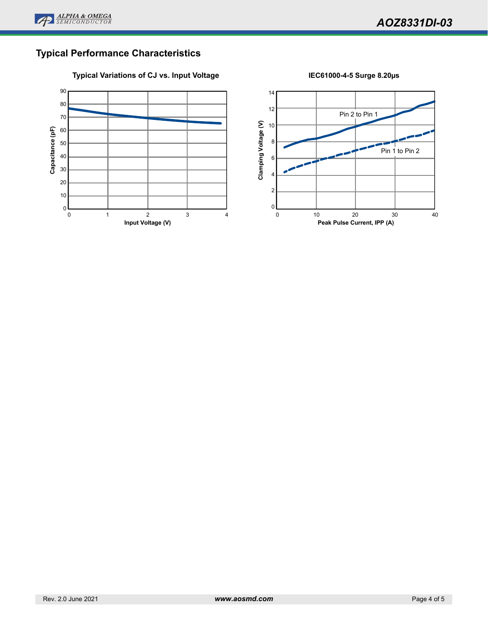

# **Typical Performance Characteristics**

### **Typical Variations of CJ vs. Input Voltage IEC61000-4-5 Surge 8.20µs**